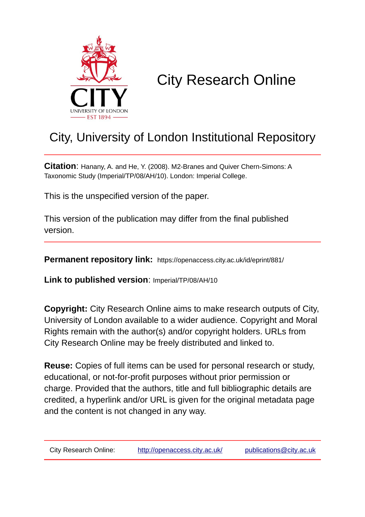

# City Research Online

## City, University of London Institutional Repository

**Citation**: Hanany, A. and He, Y. (2008). M2-Branes and Quiver Chern-Simons: A Taxonomic Study (Imperial/TP/08/AH/10). London: Imperial College.

This is the unspecified version of the paper.

This version of the publication may differ from the final published version.

**Permanent repository link:** https://openaccess.city.ac.uk/id/eprint/881/

**Link to published version**: Imperial/TP/08/AH/10

**Copyright:** City Research Online aims to make research outputs of City, University of London available to a wider audience. Copyright and Moral Rights remain with the author(s) and/or copyright holders. URLs from City Research Online may be freely distributed and linked to.

**Reuse:** Copies of full items can be used for personal research or study, educational, or not-for-profit purposes without prior permission or charge. Provided that the authors, title and full bibliographic details are credited, a hyperlink and/or URL is given for the original metadata page and the content is not changed in any way.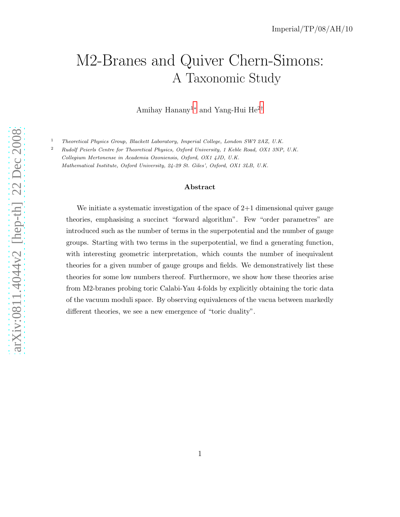## M2-Branes and Quiver Chern-Simons: A Taxonomic Study

Amihay Hanany<sup>1</sup><sup>∗</sup> and Yang-Hui He<sup>2</sup>†

<sup>1</sup> Theoretical Physics Group, Blackett Laboratory, Imperial College, London SW7 2AZ, U.K.

<sup>2</sup> Rudolf Peierls Centre for Theoretical Physics, Oxford University, 1 Keble Road, OX1 3NP, U.K. Collegium Mertonense in Academia Oxoniensis, Oxford, OX1 4JD, U.K. Mathematical Institute, Oxford University, 24-29 St. Giles', Oxford, OX1 3LB, U.K.

#### Abstract

We initiate a systematic investigation of the space of  $2+1$  dimensional quiver gauge theories, emphasising a succinct "forward algorithm". Few "order parametres" are introduced such as the number of terms in the superpotential and the number of gauge groups. Starting with two terms in the superpotential, we find a generating function, with interesting geometric interpretation, which counts the number of inequivalent theories for a given number of gauge groups and fields. We demonstratively list these theories for some low numbers thereof. Furthermore, we show how these theories arise from M2-branes probing toric Calabi-Yau 4-folds by explicitly obtaining the toric data of the vacuum moduli space. By observing equivalences of the vacua between markedly different theories, we see a new emergence of "toric duality".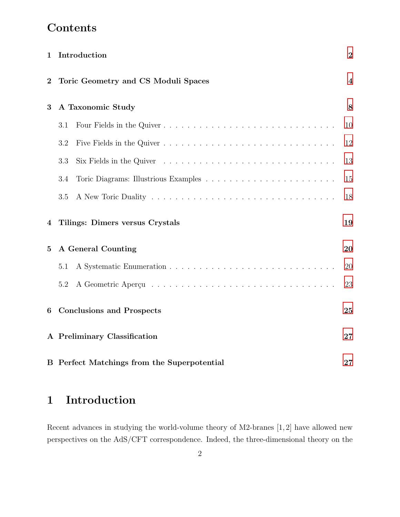## Contents

| 1              | Introduction                                                                                              | $\overline{2}$          |
|----------------|-----------------------------------------------------------------------------------------------------------|-------------------------|
| $\overline{2}$ | Toric Geometry and CS Moduli Spaces                                                                       | $\overline{\mathbf{4}}$ |
| 3              | A Taxonomic Study                                                                                         | 8                       |
|                | Four Fields in the Quiver<br>3.1                                                                          | 10                      |
|                | 3.2                                                                                                       | 12                      |
|                | Six Fields in the Quiver $\dots \dots \dots \dots \dots \dots \dots \dots \dots \dots \dots \dots$<br>3.3 | 13                      |
|                | 3.4                                                                                                       | 15                      |
|                | 3.5                                                                                                       | 18                      |
| 4              | Tilings: Dimers versus Crystals                                                                           | 19                      |
| $\overline{5}$ | A General Counting                                                                                        | 20                      |
|                | 5.1                                                                                                       | 20                      |
|                | 5.2                                                                                                       | 23                      |
| 6              | <b>Conclusions and Prospects</b>                                                                          | 25                      |
|                | A Preliminary Classification                                                                              | 27                      |
|                | B Perfect Matchings from the Superpotential                                                               | 27                      |

## <span id="page-2-0"></span>1 Introduction

Recent advances in studying the world-volume theory of M2-branes [1, 2] have allowed new perspectives on the AdS/CFT correspondence. Indeed, the three-dimensional theory on the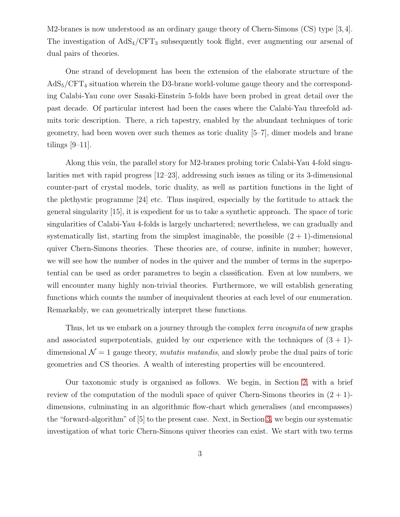M2-branes is now understood as an ordinary gauge theory of Chern-Simons (CS) type [3,4]. The investigation of  $AdS_4/CFT_3$  subsequently took flight, ever augmenting our arsenal of dual pairs of theories.

One strand of development has been the extension of the elaborate structure of the  $AdS_5/CFT_4$  situation wherein the D3-brane world-volume gauge theory and the corresponding Calabi-Yau cone over Sasaki-Einstein 5-folds have been probed in great detail over the past decade. Of particular interest had been the cases where the Calabi-Yau threefold admits toric description. There, a rich tapestry, enabled by the abundant techniques of toric geometry, had been woven over such themes as toric duality [5–7], dimer models and brane tilings [9–11].

Along this vein, the parallel story for M2-branes probing toric Calabi-Yau 4-fold singularities met with rapid progress [12–23], addressing such issues as tiling or its 3-dimensional counter-part of crystal models, toric duality, as well as partition functions in the light of the plethystic programme [24] etc. Thus inspired, especially by the fortitude to attack the general singularity [15], it is expedient for us to take a synthetic approach. The space of toric singularities of Calabi-Yau 4-folds is largely unchartered; nevertheless, we can gradually and systematically list, starting from the simplest imaginable, the possible  $(2 + 1)$ -dimensional quiver Chern-Simons theories. These theories are, of course, infinite in number; however, we will see how the number of nodes in the quiver and the number of terms in the superpotential can be used as order parametres to begin a classification. Even at low numbers, we will encounter many highly non-trivial theories. Furthermore, we will establish generating functions which counts the number of inequivalent theories at each level of our enumeration. Remarkably, we can geometrically interpret these functions.

Thus, let us we embark on a journey through the complex *terra incognita* of new graphs and associated superpotentials, guided by our experience with the techniques of  $(3 + 1)$ dimensional  $\mathcal{N} = 1$  gauge theory, *mutatis mutandis*, and slowly probe the dual pairs of toric geometries and CS theories. A wealth of interesting properties will be encountered.

Our taxonomic study is organised as follows. We begin, in Section [2,](#page-4-0) with a brief review of the computation of the moduli space of quiver Chern-Simons theories in  $(2 + 1)$ dimensions, culminating in an algorithmic flow-chart which generalises (and encompasses) the "forward-algorithm" of [5] to the present case. Next, in Section [3,](#page-8-0) we begin our systematic investigation of what toric Chern-Simons quiver theories can exist. We start with two terms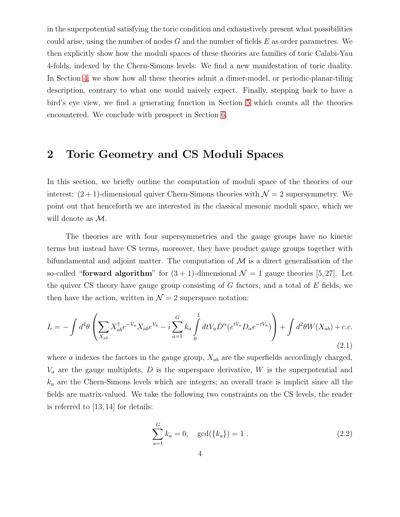in the superpotential satisfying the toric condition and exhaustively present what possibilities could arise, using the number of nodes  $G$  and the number of fields  $E$  as order parametres. We then explicitly show how the moduli spaces of these theories are families of toric Calabi-Yau 4-folds, indexed by the Chern-Simons levels. We find a new manifestation of toric duality. In Section [4,](#page-19-0) we show how all these theories admit a dimer-model, or periodic-planar-tiling description, contrary to what one would naively expect. Finally, stepping back to have a bird's eye view, we find a generating function in Section [5](#page-20-0) which counts all the theories encountered. We conclude with prospect in Section [6.](#page-25-0)

## <span id="page-4-0"></span>2 Toric Geometry and CS Moduli Spaces

In this section, we briefly outline the computation of moduli space of the theories of our interest:  $(2 + 1)$ -dimensional quiver Chern-Simons theories with  $\mathcal{N} = 2$  supersymmetry. We point out that henceforth we are interested in the classical mesonic moduli space, which we will denote as M.

The theories are with four supersymmetries and the gauge groups have no kinetic terms but instead have CS terms, moreover, they have product gauge groups together with bifundamental and adjoint matter. The computation of  $\mathcal M$  is a direct generalisation of the so-called "forward algorithm" for  $(3 + 1)$ -dimensional  $\mathcal{N} = 1$  gauge theories [5, 27]. Let the quiver CS theory have gauge group consisting of  $G$  factors, and a total of  $E$  fields, we then have the action, written in  $\mathcal{N} = 2$  superspace notation:

$$
L = -\int d^4\theta \left( \sum_{X_{ab}} X_{ab}^{\dagger} e^{-V_a} X_{ab} e^{V_b} - i \sum_{a=1}^G k_a \int_0^1 dt V_a \bar{D}^{\alpha} (e^{tV_a} D_{\alpha} e^{-tV_a}) \right) + \int d^2\theta W(X_{ab}) + c.c.
$$
\n(2.1)

where  $a$  indexes the factors in the gauge group,  $X_{ab}$  are the superfields accordingly charged,  $V_a$  are the gauge multiplets, D is the superspace derivative, W is the superpotential and  $k_a$  are the Chern-Simons levels which are integers; an overall trace is implicit since all the fields are matrix-valued. We take the following two constraints on the CS levels, the reader is referred to [13, 14] for details:

<span id="page-4-1"></span>
$$
\sum_{a=1}^{G} k_a = 0, \quad \gcd(\{k_a\}) = 1.
$$
 (2.2)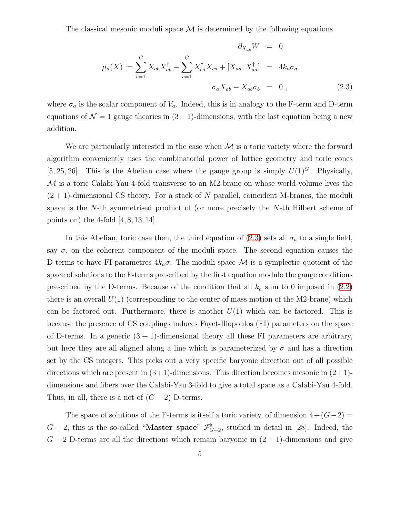The classical mesonic moduli space  $\mathcal M$  is determined by the following equations

<span id="page-5-0"></span>
$$
\partial_{X_{ab}} W = 0
$$
  

$$
\mu_a(X) := \sum_{b=1}^G X_{ab} X_{ab}^\dagger - \sum_{c=1}^G X_{ca}^\dagger X_{ca} + [X_{aa}, X_{aa}^\dagger] = 4k_a \sigma_a
$$
  

$$
\sigma_a X_{ab} - X_{ab} \sigma_b = 0 , \qquad (2.3)
$$

where  $\sigma_a$  is the scalar component of  $V_a$ . Indeed, this is in analogy to the F-term and D-term equations of  $\mathcal{N} = 1$  gauge theories in  $(3 + 1)$ -dimensions, with the last equation being a new addition.

We are particularly interested in the case when  $\mathcal M$  is a toric variety where the forward algorithm conveniently uses the combinatorial power of lattice geometry and toric cones [5, 25, 26]. This is the Abelian case where the gauge group is simply  $U(1)^G$ . Physically, M is a toric Calabi-Yau 4-fold transverse to an M2-brane on whose world-volume lives the  $(2 + 1)$ -dimensional CS theory. For a stack of N parallel, coincident M-branes, the moduli space is the N-th symmetrised product of (or more precisely the N-th Hilbert scheme of points on) the 4-fold  $[4, 8, 13, 14]$ .

In this Abelian, toric case then, the third equation of [\(2.3\)](#page-5-0) sets all  $\sigma_a$  to a single field, say  $\sigma$ , on the coherent component of the moduli space. The second equation causes the D-terms to have FI-parametres  $4k_a\sigma$ . The moduli space M is a symplectic quotient of the space of solutions to the F-terms prescribed by the first equation modulo the gauge conditions prescribed by the D-terms. Because of the condition that all  $k_a$  sum to 0 imposed in [\(2.2\)](#page-4-1) there is an overall  $U(1)$  (corresponding to the center of mass motion of the M2-brane) which can be factored out. Furthermore, there is another  $U(1)$  which can be factored. This is because the presence of CS couplings induces Fayet-Iliopoulos (FI) parameters on the space of D-terms. In a generic  $(3 + 1)$ -dimensional theory all these FI parameters are arbitrary, but here they are all aligned along a line which is parameterized by  $\sigma$  and has a direction set by the CS integers. This picks out a very specific baryonic direction out of all possible directions which are present in  $(3+1)$ -dimensions. This direction becomes mesonic in  $(2+1)$ dimensions and fibers over the Calabi-Yau 3-fold to give a total space as a Calabi-Yau 4-fold. Thus, in all, there is a net of  $(G - 2)$  D-terms.

The space of solutions of the F-terms is itself a toric variety, of dimension  $4 + (G-2) =$  $G+2$ , this is the so-called "**Master space**"  $\mathcal{F}_{G+2}^{\flat}$ , studied in detail in [28]. Indeed, the  $G-2$  D-terms are all the directions which remain baryonic in  $(2 + 1)$ -dimensions and give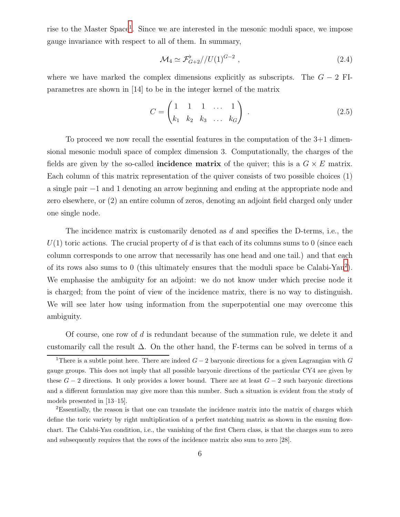rise to the Master Space<sup>[1](#page-6-0)</sup>. Since we are interested in the mesonic moduli space, we impose gauge invariance with respect to all of them. In summary,

<span id="page-6-3"></span>
$$
\mathcal{M}_4 \simeq \mathcal{F}_{G+2}^{\flat} / (U(1)^{G-2} \;, \tag{2.4}
$$

where we have marked the complex dimensions explicitly as subscripts. The  $G - 2$  FIparametres are shown in [14] to be in the integer kernel of the matrix

<span id="page-6-2"></span>
$$
C = \begin{pmatrix} 1 & 1 & 1 & \dots & 1 \\ k_1 & k_2 & k_3 & \dots & k_G \end{pmatrix} .
$$
 (2.5)

To proceed we now recall the essential features in the computation of the 3+1 dimensional mesonic moduli space of complex dimension 3. Computationally, the charges of the fields are given by the so-called **incidence matrix** of the quiver; this is a  $G \times E$  matrix. Each column of this matrix representation of the quiver consists of two possible choices (1) a single pair −1 and 1 denoting an arrow beginning and ending at the appropriate node and zero elsewhere, or (2) an entire column of zeros, denoting an adjoint field charged only under one single node.

The incidence matrix is customarily denoted as d and specifies the D-terms, i.e., the  $U(1)$  toric actions. The crucial property of d is that each of its columns sums to 0 (since each column corresponds to one arrow that necessarily has one head and one tail.) and that each of its rows also sums to 0 (this ultimately ensures that the moduli space be Calabi-Yau[2](#page-6-1) ). We emphasise the ambiguity for an adjoint: we do not know under which precise node it is charged; from the point of view of the incidence matrix, there is no way to distinguish. We will see later how using information from the superpotential one may overcome this ambiguity.

Of course, one row of d is redundant because of the summation rule, we delete it and customarily call the result  $\Delta$ . On the other hand, the F-terms can be solved in terms of a

<span id="page-6-0"></span><sup>&</sup>lt;sup>1</sup>There is a subtle point here. There are indeed  $G-2$  baryonic directions for a given Lagrangian with G gauge groups. This does not imply that all possible baryonic directions of the particular CY4 are given by these  $G-2$  directions. It only provides a lower bound. There are at least  $G-2$  such baryonic directions and a different formulation may give more than this number. Such a situation is evident from the study of models presented in [13–15].

<span id="page-6-1"></span><sup>2</sup>Essentially, the reason is that one can translate the incidence matrix into the matrix of charges which define the toric variety by right multiplication of a perfect matching matrix as shown in the ensuing flowchart. The Calabi-Yau condition, i.e., the vanishing of the first Chern class, is that the charges sum to zero and subsequently requires that the rows of the incidence matrix also sum to zero [28].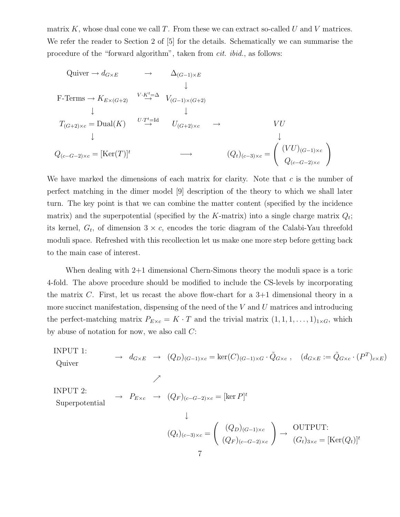matrix K, whose dual cone we call T. From these we can extract so-called U and V matrices. We refer the reader to Section 2 of [5] for the details. Schematically we can summarise the procedure of the "forward algorithm", taken from cit. ibid., as follows:

Quiver 
$$
\rightarrow d_{G \times E}
$$
  $\rightarrow \Delta_{(G-1) \times E}$   
\n $\downarrow$   
\nF-Terms  $\rightarrow K_{E \times (G+2)}$   $\stackrel{V \cdot K^t = \Delta}{\rightarrow} V_{(G-1) \times (G+2)}$   
\n $\downarrow$   
\n $T_{(G+2) \times c} = \text{Dual}(K)$   $\stackrel{U \cdot T^t = \text{Id}}{\rightarrow} U_{(G+2) \times c}$   $\rightarrow$   $VU$   
\n $\downarrow$   
\n $Q_{(c-G-2) \times c} = [\text{Ker}(T)]^t$   $\rightarrow$   $(Q_t)_{(c-3) \times c} = \begin{pmatrix} (VU)_{(G-1) \times c} \\ Q_{(c-G-2) \times c} \end{pmatrix}$ 

We have marked the dimensions of each matrix for clarity. Note that  $c$  is the number of perfect matching in the dimer model [9] description of the theory to which we shall later turn. The key point is that we can combine the matter content (specified by the incidence matrix) and the superpotential (specified by the K-matrix) into a single charge matrix  $Q_t$ ; its kernel,  $G_t$ , of dimension  $3 \times c$ , encodes the toric diagram of the Calabi-Yau threefold moduli space. Refreshed with this recollection let us make one more step before getting back to the main case of interest.

When dealing with  $2+1$  dimensional Chern-Simons theory the moduli space is a toric 4-fold. The above procedure should be modified to include the CS-levels by incorporating the matrix C. First, let us recast the above flow-chart for a  $3+1$  dimensional theory in a more succinct manifestation, dispensing of the need of the  $V$  and  $U$  matrices and introducing the perfect-matching matrix  $P_{Exc} = K \cdot T$  and the trivial matrix  $(1, 1, 1, \ldots, 1)_{1 \times G}$ , which by abuse of notation for now, we also call C:

INPUT 1:

$$
\text{Quiver} \rightarrow d_{G \times E} \rightarrow (Q_D)_{(G-1)\times c} = \ker(C)_{(G-1)\times G} \cdot \tilde{Q}_{G \times c} , \quad (d_{G \times E} := \tilde{Q}_{G \times c} \cdot (P^T)_{c \times E})
$$

INPUT 2:

Superpotential  $\rightarrow P_{Exc} \rightarrow (Q_F)_{(c-G-2)\times c} = [\ker P]^t$ 

 $\nearrow$ 

$$
\downarrow
$$

$$
(Q_t)_{(c-3)\times c} = \begin{pmatrix} (Q_D)_{(G-1)\times c} \\ (Q_F)_{(c-G-2)\times c} \end{pmatrix} \rightarrow \begin{array}{c} \text{OUTPUT:} \\ (G_t)_{3\times c} = [\text{Ker}(Q_t)]^t \end{array}
$$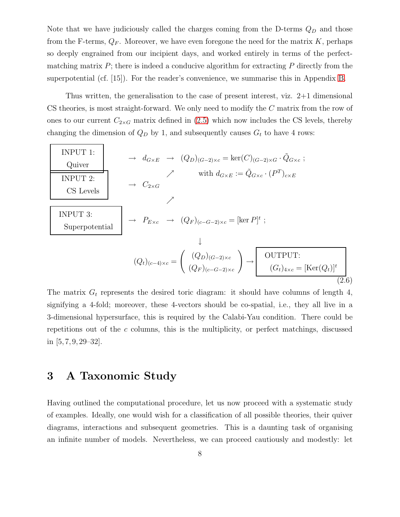Note that we have judiciously called the charges coming from the D-terms  $Q_D$  and those from the F-terms,  $Q_F$ . Moreover, we have even foregone the need for the matrix K, perhaps so deeply engrained from our incipient days, and worked entirely in terms of the perfectmatching matrix  $P$ ; there is indeed a conducive algorithm for extracting  $P$  directly from the superpotential (cf. [15]). For the reader's convenience, we summarise this in Appendix [B.](#page-27-1)

Thus written, the generalisation to the case of present interest, viz. 2+1 dimensional CS theories, is most straight-forward. We only need to modify the C matrix from the row of ones to our current  $C_{2\times G}$  matrix defined in [\(2.5\)](#page-6-2) which now includes the CS levels, thereby changing the dimension of  $Q_D$  by 1, and subsequently causes  $G_t$  to have 4 rows:

<span id="page-8-1"></span>
$$
\begin{array}{|c|c|c|c|}\n\hline\n\text{NPUT 1:} & \rightarrow d_{G \times E} & \rightarrow (Q_D)_{(G-2)\times c} = \ker(C)_{(G-2)\times G} \cdot \tilde{Q}_{G \times c} \text{;} \\
\hline\n\text{NPUT 2:} & \rightarrow \text{C}_{2\times G} & \text{with } d_{G \times E} := \tilde{Q}_{G \times c} \cdot (P^T)_{c \times E} \\
\hline\n\text{INPUT 3:} & \rightarrow P_{E \times c} & \rightarrow (Q_F)_{(c-G-2)\times c} = [\ker P]^t \text{;} \\
\hline\n\text{Superpotential} & \rightarrow P_{E \times c} & \rightarrow (Q_F)_{(G-2)\times c} = [\ker P]^t \text{;} \\
\downarrow & \downarrow & \downarrow \\
\hline\n(Q_t)_{(c-4)\times c} = \begin{pmatrix} (Q_D)_{(G-2)\times c} & \rightarrow \text{OUTPUT:} \\
(Q_F)_{(c-G-2)\times c} & \rightarrow \text{[Gt]}_{4\times c} = [\ker(Q_t)]^t \\
\hline\n\end{pmatrix}\n\hline\n\end{array}
$$

The matrix  $G_t$  represents the desired toric diagram: it should have columns of length 4, signifying a 4-fold; moreover, these 4-vectors should be co-spatial, i.e., they all live in a 3-dimensional hypersurface, this is required by the Calabi-Yau condition. There could be repetitions out of the  $c$  columns, this is the multiplicity, or perfect matchings, discussed in  $[5, 7, 9, 29-32]$ .

## <span id="page-8-0"></span>3 A Taxonomic Study

 $\Gamma$ 

Having outlined the computational procedure, let us now proceed with a systematic study of examples. Ideally, one would wish for a classification of all possible theories, their quiver diagrams, interactions and subsequent geometries. This is a daunting task of organising an infinite number of models. Nevertheless, we can proceed cautiously and modestly: let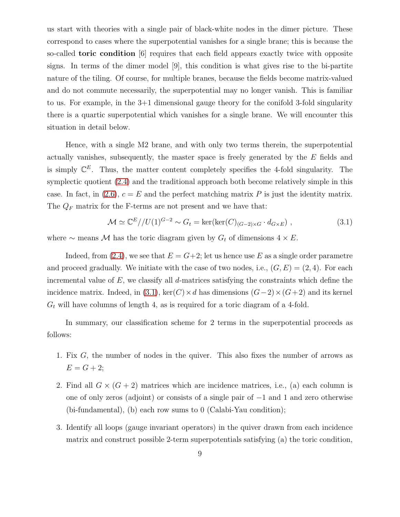us start with theories with a single pair of black-white nodes in the dimer picture. These correspond to cases where the superpotential vanishes for a single brane; this is because the so-called toric condition [6] requires that each field appears exactly twice with opposite signs. In terms of the dimer model [9], this condition is what gives rise to the bi-partite nature of the tiling. Of course, for multiple branes, because the fields become matrix-valued and do not commute necessarily, the superpotential may no longer vanish. This is familiar to us. For example, in the 3+1 dimensional gauge theory for the conifold 3-fold singularity there is a quartic superpotential which vanishes for a single brane. We will encounter this situation in detail below.

Hence, with a single M2 brane, and with only two terms therein, the superpotential actually vanishes, subsequently, the master space is freely generated by the E fields and is simply  $\mathbb{C}^E$ . Thus, the matter content completely specifies the 4-fold singularity. The symplectic quotient [\(2.4\)](#page-6-3) and the traditional approach both become relatively simple in this case. In fact, in [\(2.6\)](#page-8-1),  $c = E$  and the perfect matching matrix P is just the identity matrix. The  $Q_F$  matrix for the F-terms are not present and we have that:

<span id="page-9-0"></span>
$$
\mathcal{M} \simeq \mathbb{C}^E / / U(1)^{G-2} \sim G_t = \ker(\ker(C)_{(G-2)\times G} \cdot d_{G\times E}), \qquad (3.1)
$$

where  $\sim$  means M has the toric diagram given by  $G_t$  of dimensions  $4 \times E$ .

Indeed, from [\(2.4\)](#page-6-3), we see that  $E = G+2$ ; let us hence use E as a single order parametre and proceed gradually. We initiate with the case of two nodes, i.e.,  $(G, E) = (2, 4)$ . For each incremental value of  $E$ , we classify all d-matrices satisfying the constraints which define the incidence matrix. Indeed, in [\(3.1\)](#page-9-0), ker(C) × d has dimensions  $(G-2) \times (G+2)$  and its kernel  $G_t$  will have columns of length 4, as is required for a toric diagram of a 4-fold.

In summary, our classification scheme for 2 terms in the superpotential proceeds as follows:

- 1. Fix G, the number of nodes in the quiver. This also fixes the number of arrows as  $E = G + 2;$
- 2. Find all  $G \times (G + 2)$  matrices which are incidence matrices, i.e., (a) each column is one of only zeros (adjoint) or consists of a single pair of −1 and 1 and zero otherwise (bi-fundamental), (b) each row sums to 0 (Calabi-Yau condition);
- 3. Identify all loops (gauge invariant operators) in the quiver drawn from each incidence matrix and construct possible 2-term superpotentials satisfying (a) the toric condition,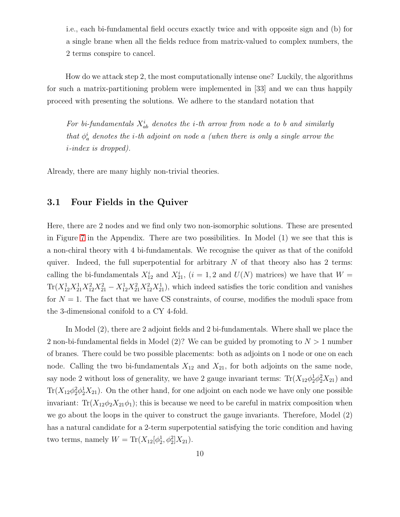i.e., each bi-fundamental field occurs exactly twice and with opposite sign and (b) for a single brane when all the fields reduce from matrix-valued to complex numbers, the 2 terms conspire to cancel.

How do we attack step 2, the most computationally intense one? Luckily, the algorithms for such a matrix-partitioning problem were implemented in [33] and we can thus happily proceed with presenting the solutions. We adhere to the standard notation that

For bi-fundamentals  $X_{ab}^i$  denotes the *i*-th arrow from node a to b and similarly that  $\phi_a^i$  denotes the *i*-th adjoint on node a (when there is only a single arrow the i-index is dropped).

<span id="page-10-0"></span>Already, there are many highly non-trivial theories.

#### 3.1 Four Fields in the Quiver

Here, there are 2 nodes and we find only two non-isomorphic solutions. These are presented in Figure [7](#page-27-2) in the Appendix. There are two possibilities. In Model (1) we see that this is a non-chiral theory with 4 bi-fundamentals. We recognise the quiver as that of the conifold quiver. Indeed, the full superpotential for arbitrary  $N$  of that theory also has 2 terms: calling the bi-fundamentals  $X_{12}^i$  and  $X_{21}^i$ ,  $(i = 1, 2$  and  $U(N)$  matrices) we have that  $W =$  $\text{Tr}(X_{12}^1 X_{21}^1 X_{12}^2 X_{21}^2 - X_{12}^1 X_{21}^2 X_{12}^2 X_{21}^1)$ , which indeed satisfies the toric condition and vanishes for  $N = 1$ . The fact that we have CS constraints, of course, modifies the moduli space from the 3-dimensional conifold to a CY 4-fold.

In Model (2), there are 2 adjoint fields and 2 bi-fundamentals. Where shall we place the 2 non-bi-fundamental fields in Model  $(2)$ ? We can be guided by promoting to  $N > 1$  number of branes. There could be two possible placements: both as adjoints on 1 node or one on each node. Calling the two bi-fundamentals  $X_{12}$  and  $X_{21}$ , for both adjoints on the same node, say node 2 without loss of generality, we have 2 gauge invariant terms:  $Tr(X_{12}\phi_2^1\phi_2^2X_{21})$  and  $\text{Tr}(X_{12}\phi_2^2\phi_2^1X_{21})$ . On the other hand, for one adjoint on each node we have only one possible invariant:  $Tr(X_{12}\phi_2X_{21}\phi_1)$ ; this is because we need to be careful in matrix composition when we go about the loops in the quiver to construct the gauge invariants. Therefore, Model (2) has a natural candidate for a 2-term superpotential satisfying the toric condition and having two terms, namely  $W = \text{Tr}(X_{12}[\phi_2^1, \phi_2^2]X_{21}).$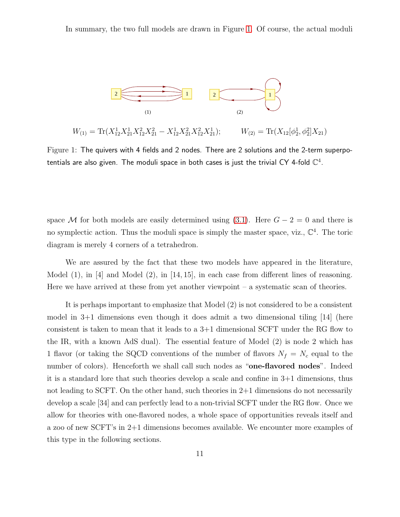In summary, the two full models are drawn in Figure [1.](#page-11-0) Of course, the actual moduli



<span id="page-11-0"></span> $W_{(1)} = \text{Tr}(X_{12}^1 X_{21}^1 X_{12}^2 X_{21}^2 - X_{12}^1 X_{21}^2 X_{12}^2 X_{21}^1)$  $W_{(2)} = \text{Tr}(X_{12}[\phi_2^1, \phi_2^2]X_{21})$ 

Figure 1: The quivers with 4 fields and 2 nodes. There are 2 solutions and the 2-term superpotentials are also given. The moduli space in both cases is just the trivial CY 4-fold  $\mathbb{C}^4$ .

space M for both models are easily determined using [\(3.1\)](#page-9-0). Here  $G - 2 = 0$  and there is no symplectic action. Thus the moduli space is simply the master space, viz.,  $\mathbb{C}^4$ . The toric diagram is merely 4 corners of a tetrahedron.

We are assured by the fact that these two models have appeared in the literature, Model  $(1)$ , in [4] and Model  $(2)$ , in [14, 15], in each case from different lines of reasoning. Here we have arrived at these from yet another viewpoint  $-$  a systematic scan of theories.

It is perhaps important to emphasize that Model (2) is not considered to be a consistent model in 3+1 dimensions even though it does admit a two dimensional tiling [14] (here consistent is taken to mean that it leads to a  $3+1$  dimensional SCFT under the RG flow to the IR, with a known AdS dual). The essential feature of Model (2) is node 2 which has 1 flavor (or taking the SQCD conventions of the number of flavors  $N_f = N_c$  equal to the number of colors). Henceforth we shall call such nodes as "one-flavored nodes". Indeed it is a standard lore that such theories develop a scale and confine in 3+1 dimensions, thus not leading to SCFT. On the other hand, such theories in 2+1 dimensions do not necessarily develop a scale [34] and can perfectly lead to a non-trivial SCFT under the RG flow. Once we allow for theories with one-flavored nodes, a whole space of opportunities reveals itself and a zoo of new SCFT's in 2+1 dimensions becomes available. We encounter more examples of this type in the following sections.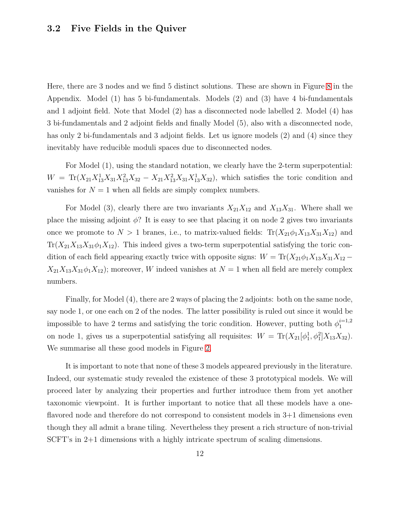#### <span id="page-12-0"></span>3.2 Five Fields in the Quiver

Here, there are 3 nodes and we find 5 distinct solutions. These are shown in Figure [8](#page-28-0) in the Appendix. Model (1) has 5 bi-fundamentals. Models (2) and (3) have 4 bi-fundamentals and 1 adjoint field. Note that Model (2) has a disconnected node labelled 2. Model (4) has 3 bi-fundamentals and 2 adjoint fields and finally Model (5), also with a disconnected node, has only 2 bi-fundamentals and 3 adjoint fields. Let us ignore models (2) and (4) since they inevitably have reducible moduli spaces due to disconnected nodes.

For Model (1), using the standard notation, we clearly have the 2-term superpotential:  $W = Tr(X_{21}X_{13}^1X_{31}X_{13}^2X_{32} - X_{21}X_{13}^2X_{31}X_{13}^1X_{32})$ , which satisfies the toric condition and vanishes for  $N = 1$  when all fields are simply complex numbers.

For Model (3), clearly there are two invariants  $X_{21}X_{12}$  and  $X_{13}X_{31}$ . Where shall we place the missing adjoint  $\phi$ ? It is easy to see that placing it on node 2 gives two invariants once we promote to  $N > 1$  branes, i.e., to matrix-valued fields:  $Tr(X_{21}\phi_1 X_{13}X_{31}X_{12})$  and  $Tr(X_{21}X_{13}X_{31}\phi_1X_{12})$ . This indeed gives a two-term superpotential satisfying the toric condition of each field appearing exactly twice with opposite signs:  $W = \text{Tr}(X_{21}\phi_1 X_{13}X_{31}X_{12} X_{21}X_{13}X_{31}\phi_1X_{12}$ ; moreover, W indeed vanishes at  $N=1$  when all field are merely complex numbers.

Finally, for Model (4), there are 2 ways of placing the 2 adjoints: both on the same node, say node 1, or one each on 2 of the nodes. The latter possibility is ruled out since it would be impossible to have 2 terms and satisfying the toric condition. However, putting both  $\phi_1^{i=1,2}$ 1 on node 1, gives us a superpotential satisfying all requisites:  $W = \text{Tr}(X_{21}[\phi_1^1, \phi_1^2]X_{13}X_{32})$ . We summarise all these good models in Figure [2.](#page-13-1)

It is important to note that none of these 3 models appeared previously in the literature. Indeed, our systematic study revealed the existence of these 3 prototypical models. We will proceed later by analyzing their properties and further introduce them from yet another taxonomic viewpoint. It is further important to notice that all these models have a oneflavored node and therefore do not correspond to consistent models in 3+1 dimensions even though they all admit a brane tiling. Nevertheless they present a rich structure of non-trivial SCFT's in 2+1 dimensions with a highly intricate spectrum of scaling dimensions.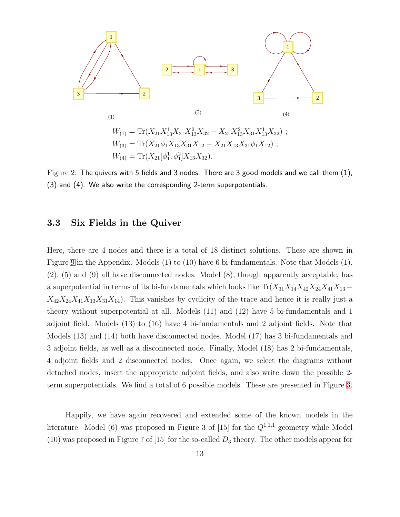

<span id="page-13-1"></span>Figure 2: The quivers with 5 fields and 3 nodes. There are 3 good models and we call them (1), (3) and (4). We also write the corresponding 2-term superpotentials.

#### <span id="page-13-0"></span>3.3 Six Fields in the Quiver

Here, there are 4 nodes and there is a total of 18 distinct solutions. These are shown in Figure [9](#page-29-0) in the Appendix. Models (1) to (10) have 6 bi-fundamentals. Note that Models (1), (2), (5) and (9) all have disconnected nodes. Model (8), though apparently acceptable, has a superpotential in terms of its bi-fundamentals which looks like  $Tr(X_{31}X_{14}X_{42}X_{24}X_{41}X_{13} X_{42}X_{24}X_{41}X_{13}X_{31}X_{14}$ . This vanishes by cyclicity of the trace and hence it is really just a theory without superpotential at all. Models (11) and (12) have 5 bi-fundamentals and 1 adjoint field. Models (13) to (16) have 4 bi-fundamentals and 2 adjoint fields. Note that Models (13) and (14) both have disconnected nodes. Model (17) has 3 bi-fundamentals and 3 adjoint fields, as well as a disconnected node. Finally, Model (18) has 2 bi-fundamentals, 4 adjoint fields and 2 disconnected nodes. Once again, we select the diagrams without detached nodes, insert the appropriate adjoint fields, and also write down the possible 2 term superpotentials. We find a total of 6 possible models. These are presented in Figure [3.](#page-14-0)

Happily, we have again recovered and extended some of the known models in the literature. Model (6) was proposed in Figure 3 of [15] for the  $Q^{1,1,1}$  geometry while Model (10) was proposed in Figure 7 of [15] for the so-called  $D_3$  theory. The other models appear for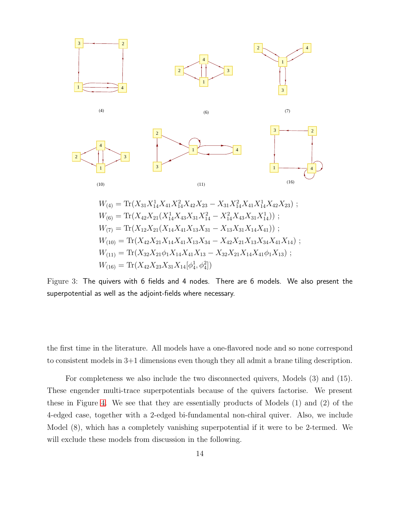

$$
W_{(4)} = \text{Tr}(X_{31}X_{14}^1 X_{41}X_{14}^2 X_{42}X_{23} - X_{31}X_{14}^2 X_{41}X_{14}^1 X_{42}X_{23}) ;
$$
  
\n
$$
W_{(6)} = \text{Tr}(X_{42}X_{21}(X_{14}^1 X_{43}X_{31}X_{14}^2 - X_{14}^2 X_{43}X_{31}X_{14}^1)) ;
$$
  
\n
$$
W_{(7)} = \text{Tr}(X_{12}X_{21}(X_{14}X_{41}X_{13}X_{31} - X_{13}X_{31}X_{14}X_{41})) ;
$$
  
\n
$$
W_{(10)} = \text{Tr}(X_{42}X_{21}X_{14}X_{41}X_{13}X_{34} - X_{42}X_{21}X_{13}X_{34}X_{41}X_{14}) ;
$$
  
\n
$$
W_{(11)} = \text{Tr}(X_{32}X_{21}\phi_1 X_{14}X_{41}X_{13} - X_{32}X_{21}X_{14}X_{41}\phi_1 X_{13}) ;
$$
  
\n
$$
W_{(16)} = \text{Tr}(X_{42}X_{23}X_{31}X_{14}[\phi_4^1, \phi_4^2])
$$

<span id="page-14-0"></span>Figure 3: The quivers with 6 fields and 4 nodes. There are 6 models. We also present the superpotential as well as the adjoint-fields where necessary.

the first time in the literature. All models have a one-flavored node and so none correspond to consistent models in 3+1 dimensions even though they all admit a brane tiling description.

For completeness we also include the two disconnected quivers, Models (3) and (15). These engender multi-trace superpotentials because of the quivers factorise. We present these in Figure [4.](#page-15-1) We see that they are essentially products of Models (1) and (2) of the 4-edged case, together with a 2-edged bi-fundamental non-chiral quiver. Also, we include Model (8), which has a completely vanishing superpotential if it were to be 2-termed. We will exclude these models from discussion in the following.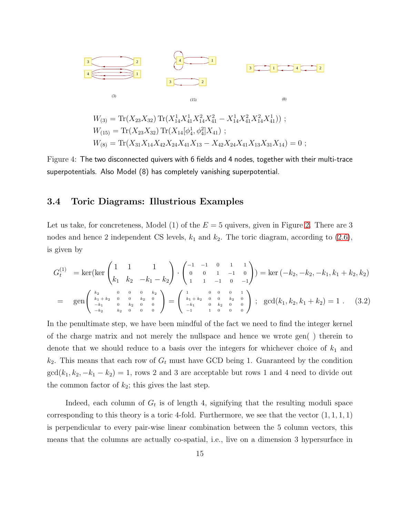

<span id="page-15-1"></span>Figure 4: The two disconnected quivers with 6 fields and 4 nodes, together with their multi-trace superpotentials. Also Model (8) has completely vanishing superpotential.

#### <span id="page-15-0"></span>3.4 Toric Diagrams: Illustrious Examples

Let us take, for concreteness, Model (1) of the  $E = 5$  quivers, given in Figure [2.](#page-13-1) There are 3 nodes and hence 2 independent CS levels,  $k_1$  and  $k_2$ . The toric diagram, according to [\(2.6\)](#page-8-1), is given by

$$
G_t^{(1)} = \ker(\ker\begin{pmatrix} 1 & 1 & 1 \ k_1 & k_2 & -k_1 - k_2 \end{pmatrix} \cdot \begin{pmatrix} -1 & -1 & 0 & 1 & 1 \ 0 & 0 & 1 & -1 & 0 \ 1 & 1 & -1 & 0 & -1 \end{pmatrix}) = \ker(-k_2, -k_2, -k_1, k_1 + k_2, k_2)
$$
  
\n
$$
= \operatorname{gen} \begin{pmatrix} \frac{k_2}{k_1 + k_2} & 0 & 0 & 0 & k_2 \ k_1 + k_2 & 0 & 0 & k_2 & 0 \ -k_1 & 0 & k_2 & 0 & 0 \ -k_2 & k_2 & 0 & 0 & 0 \end{pmatrix} = \begin{pmatrix} 1 & 0 & 0 & 0 & 1 \ k_1 + k_2 & 0 & 0 & k_2 & 0 \ -k_1 & 0 & k_2 & 0 & 0 \ -1 & 1 & 0 & 0 & 0 \end{pmatrix}; \operatorname{gcd}(k_1, k_2, k_1 + k_2) = 1.
$$
 (3.2)

In the penultimate step, we have been mindful of the fact we need to find the integer kernel of the charge matrix and not merely the nullspace and hence we wrote gen( ) therein to denote that we should reduce to a basis over the integers for whichever choice of  $k_1$  and  $k_2$ . This means that each row of  $G_t$  must have GCD being 1. Guaranteed by the condition  $gcd(k_1, k_2, -k_1 - k_2) = 1$ , rows 2 and 3 are acceptable but rows 1 and 4 need to divide out the common factor of  $k_2$ ; this gives the last step.

Indeed, each column of  $G_t$  is of length 4, signifying that the resulting moduli space corresponding to this theory is a toric 4-fold. Furthermore, we see that the vector  $(1, 1, 1, 1)$ is perpendicular to every pair-wise linear combination between the 5 column vectors, this means that the columns are actually co-spatial, i.e., live on a dimension 3 hypersurface in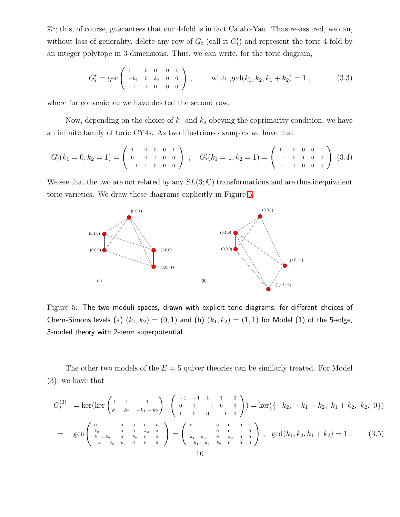$\mathbb{Z}^4$ ; this, of course, guarantees that our 4-fold is in fact Calabi-Yau. Thus re-assured, we can, without loss of generality, delete any row of  $G_t$  (call it  $G'_t$ ) and represent the toric 4-fold by an integer polytope in 3-dimensions. Thus, we can write, for the toric diagram,

$$
G'_{t} = \text{gen}\begin{pmatrix} 1 & 0 & 0 & 0 & 1 \\ -k_{1} & 0 & k_{2} & 0 & 0 \\ -1 & 1 & 0 & 0 & 0 \end{pmatrix}, \quad \text{with } \text{gcd}(k_{1}, k_{2}, k_{1} + k_{2}) = 1 ,
$$
 (3.3)

where for convenience we have deleted the second row.

Now, depending on the choice of  $k_1$  and  $k_2$  obeying the coprimarity condition, we have an infinite family of toric CY4s. As two illustrious examples we have that

$$
G'_{t}(k_{1}=0,k_{2}=1)=\left(\begin{array}{cccc}1&0&0&0&1\\0&0&1&0&0\\-1&1&0&0&0\end{array}\right) ,\quad G'_{t}(k_{1}=1,k_{2}=1)=\left(\begin{array}{cccc}1&0&0&0&1\\-1&0&1&0&0\\-1&1&0&0&0\end{array}\right) (3.4)
$$

We see that the two are not related by any  $SL(3;\mathbb{C})$  transformations and are thus inequivalent toric varieties. We draw these diagrams explicitly in Figure [5.](#page-16-0)



<span id="page-16-0"></span>Figure 5: The two moduli spaces, drawn with explicit toric diagrams, for different choices of Chern-Simons levels (a)  $(k_1, k_2) = (0, 1)$  and (b)  $(k_1, k_2) = (1, 1)$  for Model (1) of the 5-edge, 3-noded theory with 2-term superpotential.

The other two models of the  $E = 5$  quiver theories can be similarly treated. For Model (3), we have that

$$
G_t^{(3)} = \ker(\ker\begin{pmatrix} 1 & 1 & 1 \ k_1 & k_2 & -k_1 - k_2 \end{pmatrix} \cdot \begin{pmatrix} -1 & -1 & 1 & 1 & 0 \ 0 & 1 & -1 & 0 & 0 \ 1 & 0 & 0 & -1 & 0 \end{pmatrix}) = \ker(\{-k_2, -k_1 - k_2, k_1 + k_2, k_2, 0\})
$$
  
= 
$$
\operatorname{gen} \begin{pmatrix} 0 & 0 & 0 & 0 & k_2 & 0 \ k_1 + k_2 & 0 & k_2 & 0 & 0 \ k_1 + k_2 & 0 & k_2 & 0 & 0 \ -k_1 - k_2 & k_2 & 0 & 0 & 0 \end{pmatrix} = \begin{pmatrix} 0 & 0 & 0 & 0 & 1 \ 1 & 0 & 0 & 1 & 0 \ k_1 + k_2 & 0 & k_2 & 0 & 0 \ -k_1 - k_2 & k_2 & 0 & 0 & 0 \end{pmatrix}; \operatorname{gcd}(k_1, k_2, k_1 + k_2) = 1.
$$
 (3.5)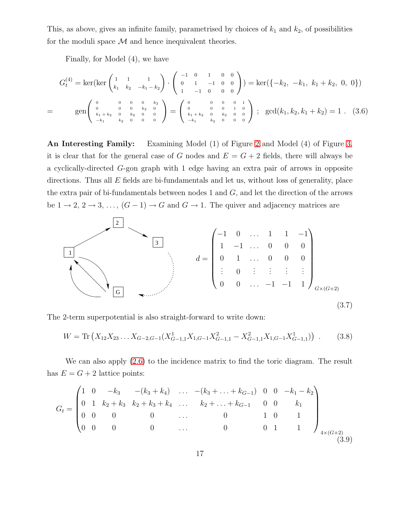This, as above, gives an infinite family, parametrised by choices of  $k_1$  and  $k_2$ , of possibilities for the moduli space  $\mathcal M$  and hence inequivalent theories.

Finally, for Model (4), we have

<span id="page-17-0"></span>
$$
G_t^{(4)} = \ker(\ker\begin{pmatrix} 1 & 1 & 1 \ k_1 & k_2 & -k_1 - k_2 \end{pmatrix} \cdot \begin{pmatrix} -1 & 0 & 1 & 0 & 0 \ 0 & 1 & -1 & 0 & 0 \ 1 & -1 & 0 & 0 & 0 \end{pmatrix}) = \ker(\{-k_2, -k_1, k_1 + k_2, 0, 0\})
$$
  
= 
$$
\operatorname{gen} \begin{pmatrix} 0 & 0 & 0 & 0 & k_2 \ 0 & 0 & 0 & k_2 & 0 \ k_1 + k_2 & 0 & k_2 & 0 & 0 \ -k_1 & k_2 & 0 & 0 & 0 \end{pmatrix} = \begin{pmatrix} 0 & 0 & 0 & 0 & 1 \ 0 & 0 & 0 & 1 & 0 \ k_1 + k_2 & 0 & k_2 & 0 & 0 \ -k_1 & k_2 & 0 & 0 & 0 \end{pmatrix}; \operatorname{gcd}(k_1, k_2, k_1 + k_2) = 1. (3.6)
$$

An Interesting Family: Examining Model (1) of Figure [2](#page-13-1) and Model (4) of Figure [3,](#page-14-0) it is clear that for the general case of G nodes and  $E = G + 2$  fields, there will always be a cyclically-directed G-gon graph with 1 edge having an extra pair of arrows in opposite directions. Thus all  $E$  fields are bi-fundamentals and let us, without loss of generality, place the extra pair of bi-fundamentals between nodes 1 and  $G$ , and let the direction of the arrows be  $1 \to 2, 2 \to 3, \ldots, (G-1) \to G$  and  $G \to 1$ . The quiver and adjacency matrices are



The 2-term superpotential is also straight-forward to write down:

$$
W = \text{Tr}\left(X_{12}X_{23}\ldots X_{G-2,G-1}(X_{G-1,1}^1X_{1,G-1}X_{G-1,1}^2 - X_{G-1,1}^2X_{1,G-1}X_{G-1,1}^1)\right) \tag{3.8}
$$

We can also apply [\(2.6\)](#page-8-1) to the incidence matrix to find the toric diagram. The result has  $E = G + 2$  lattice points:

$$
G_{t} = \begin{pmatrix} 1 & 0 & -k_{3} & -(k_{3} + k_{4}) & \dots & -(k_{3} + \dots + k_{G-1}) & 0 & 0 & -k_{1} - k_{2} \\ 0 & 1 & k_{2} + k_{3} & k_{2} + k_{3} + k_{4} & \dots & k_{2} + \dots + k_{G-1} & 0 & 0 & k_{1} \\ 0 & 0 & 0 & 0 & \dots & 0 & 1 & 0 & 1 \\ 0 & 0 & 0 & 0 & \dots & 0 & 0 & 1 & 1 \end{pmatrix}_{4 \times (G+2)} \tag{3.9}
$$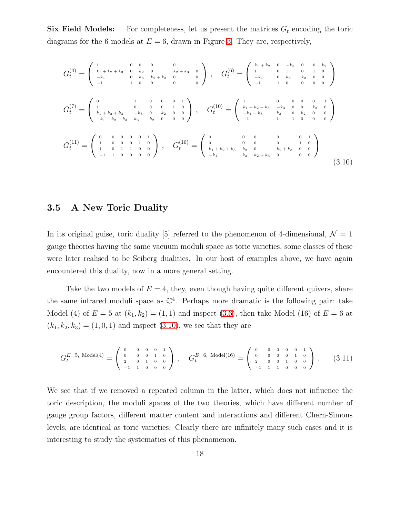**Six Field Models:** For completeness, let us present the matrices  $G_t$  encoding the toric diagrams for the 6 models at  $E = 6$ , drawn in Figure [3.](#page-14-0) They are, respectively,

<span id="page-18-1"></span>
$$
G_{t}^{(4)} = \begin{pmatrix} 1 & 0 & 0 & 0 & 0 & 1 \\ k_{1} + k_{2} + k_{3} & 0 & k_{2} & 0 & k_{2} + k_{3} & 0 \\ -k_{1} & 0 & k_{3} & k_{2} + k_{3} & 0 & 0 \\ -1 & 1 & 0 & 0 & 0 & 0 \end{pmatrix}, \quad G_{t}^{(6)} = \begin{pmatrix} k_{1} + k_{2} & 0 & -k_{3} & 0 & 0 & k_{2} \\ 1 & 0 & 1 & 0 & 1 & 0 \\ -k_{1} & 0 & k_{3} & k_{2} & 0 & 0 \\ -1 & 1 & 0 & 0 & 0 & 0 \end{pmatrix}
$$
  
\n
$$
G_{t}^{(7)} = \begin{pmatrix} 0 & 1 & 0 & 0 & 0 & 1 \\ 1 & 0 & 0 & 0 & 1 & 0 \\ k_{1} + k_{2} + k_{3} & -k_{3} & 0 & k_{2} & 0 & 0 \\ -k_{1} - k_{2} - k_{3} & k_{3} & k_{2} & 0 & 0 & 0 \end{pmatrix}, \quad G_{t}^{(10)} = \begin{pmatrix} 1 & 0 & 0 & 0 & 0 & 0 & 1 \\ k_{1} + k_{2} + k_{3} & -k_{3} & 0 & 0 & k_{2} & 0 \\ -k_{1} - k_{3} & k_{3} & 0 & k_{2} & 0 & 0 \\ -1 & 1 & 1 & 0 & 0 & 0 & 0 \end{pmatrix}
$$
  
\n
$$
G_{t}^{(11)} = \begin{pmatrix} 0 & 0 & 0 & 0 & 0 & 1 \\ 1 & 0 & 0 & 1 & 0 & 0 \\ 1 & 0 & 1 & 1 & 0 & 0 \\ -1 & 1 & 0 & 0 & 0 & 0 \end{pmatrix}, \quad G_{t}^{(16)} = \begin{pmatrix} 0 & 0 & 0 & 0 & 0 & 0 & 1 \\ 0 & 0 & 0 & 0 & 0 & 1 & 0 \\ k_{1} + k_{2} + k_{3} & k_{2} & 0 & k_{2} + k_{3} & 0 & 0 \\ -k_{1} & k_{3} & k_{2} + k_{3} & 0 & 0 & 0 \end{pmatrix}
$$
  
\n
$$
(3.10)
$$

#### <span id="page-18-0"></span>3.5 A New Toric Duality

In its original guise, toric duality [5] referred to the phenomenon of 4-dimensional,  $\mathcal{N} = 1$ gauge theories having the same vacuum moduli space as toric varieties, some classes of these were later realised to be Seiberg dualities. In our host of examples above, we have again encountered this duality, now in a more general setting.

Take the two models of  $E = 4$ , they, even though having quite different quivers, share the same infrared moduli space as  $\mathbb{C}^4$ . Perhaps more dramatic is the following pair: take Model (4) of  $E = 5$  at  $(k_1, k_2) = (1, 1)$  and inspect [\(3.6\)](#page-17-0), then take Model (16) of  $E = 6$  at  $(k_1, k_2, k_3) = (1, 0, 1)$  and inspect  $(3.10)$ , we see that they are

$$
G_t^{E=5, \text{ Model}(4)} = \begin{pmatrix} 0 & 0 & 0 & 0 & 1 \\ 0 & 0 & 0 & 1 & 0 \\ 2 & 0 & 1 & 0 & 0 \\ -1 & 1 & 0 & 0 & 0 \end{pmatrix}, \quad G_t^{E=6, \text{ Model}(16)} = \begin{pmatrix} 0 & 0 & 0 & 0 & 0 & 1 \\ 0 & 0 & 0 & 0 & 1 & 0 \\ 2 & 0 & 0 & 1 & 0 & 0 \\ -1 & 1 & 1 & 0 & 0 & 0 \end{pmatrix}. \tag{3.11}
$$

We see that if we removed a repeated column in the latter, which does not influence the toric description, the moduli spaces of the two theories, which have different number of gauge group factors, different matter content and interactions and different Chern-Simons levels, are identical as toric varieties. Clearly there are infinitely many such cases and it is interesting to study the systematics of this phenomenon.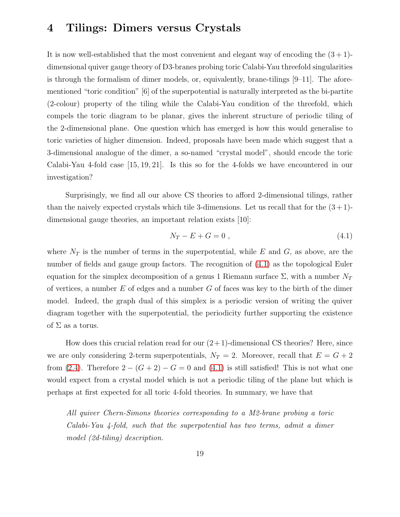### <span id="page-19-0"></span>4 Tilings: Dimers versus Crystals

It is now well-established that the most convenient and elegant way of encoding the  $(3 + 1)$ dimensional quiver gauge theory of D3-branes probing toric Calabi-Yau threefold singularities is through the formalism of dimer models, or, equivalently, brane-tilings  $[9-11]$ . The aforementioned "toric condition" [6] of the superpotential is naturally interpreted as the bi-partite (2-colour) property of the tiling while the Calabi-Yau condition of the threefold, which compels the toric diagram to be planar, gives the inherent structure of periodic tiling of the 2-dimensional plane. One question which has emerged is how this would generalise to toric varieties of higher dimension. Indeed, proposals have been made which suggest that a 3-dimensional analogue of the dimer, a so-named "crystal model", should encode the toric Calabi-Yau 4-fold case [15, 19, 21]. Is this so for the 4-folds we have encountered in our investigation?

Surprisingly, we find all our above CS theories to afford 2-dimensional tilings, rather than the naively expected crystals which tile 3-dimensions. Let us recall that for the  $(3+1)$ dimensional gauge theories, an important relation exists [10]:

<span id="page-19-1"></span>
$$
N_T - E + G = 0 \t\t(4.1)
$$

where  $N_T$  is the number of terms in the superpotential, while E and G, as above, are the number of fields and gauge group factors. The recognition of [\(4.1\)](#page-19-1) as the topological Euler equation for the simplex decomposition of a genus 1 Riemann surface  $\Sigma$ , with a number  $N_T$ of vertices, a number  $E$  of edges and a number  $G$  of faces was key to the birth of the dimer model. Indeed, the graph dual of this simplex is a periodic version of writing the quiver diagram together with the superpotential, the periodicity further supporting the existence of  $\Sigma$  as a torus.

How does this crucial relation read for our  $(2+1)$ -dimensional CS theories? Here, since we are only considering 2-term superpotentials,  $N_T = 2$ . Moreover, recall that  $E = G + 2$ from [\(2.4\)](#page-6-3). Therefore  $2 - (G + 2) - G = 0$  and [\(4.1\)](#page-19-1) is still satisfied! This is not what one would expect from a crystal model which is not a periodic tiling of the plane but which is perhaps at first expected for all toric 4-fold theories. In summary, we have that

All quiver Chern-Simons theories corresponding to a M2-brane probing a toric Calabi-Yau 4-fold, such that the superpotential has two terms, admit a dimer model (2d-tiling) description.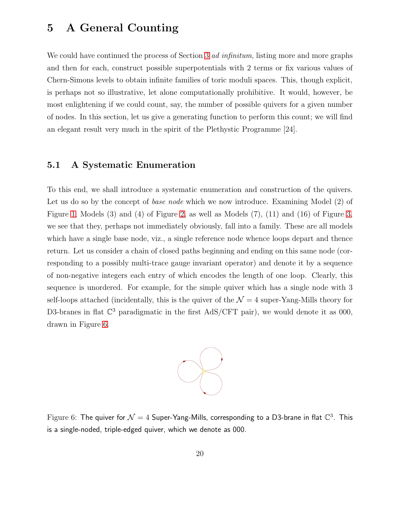## <span id="page-20-0"></span>5 A General Counting

We could have continued the process of Section [3](#page-8-0) *ad infinitum*, listing more and more graphs and then for each, construct possible superpotentials with 2 terms or fix various values of Chern-Simons levels to obtain infinite families of toric moduli spaces. This, though explicit, is perhaps not so illustrative, let alone computationally prohibitive. It would, however, be most enlightening if we could count, say, the number of possible quivers for a given number of nodes. In this section, let us give a generating function to perform this count; we will find an elegant result very much in the spirit of the Plethystic Programme [24].

#### <span id="page-20-1"></span>5.1 A Systematic Enumeration

To this end, we shall introduce a systematic enumeration and construction of the quivers. Let us do so by the concept of *base node* which we now introduce. Examining Model (2) of Figure [1,](#page-11-0) Models (3) and (4) of Figure [2,](#page-13-1) as well as Models (7), (11) and (16) of Figure [3,](#page-14-0) we see that they, perhaps not immediately obviously, fall into a family. These are all models which have a single base node, viz., a single reference node whence loops depart and thence return. Let us consider a chain of closed paths beginning and ending on this same node (corresponding to a possibly multi-trace gauge invariant operator) and denote it by a sequence of non-negative integers each entry of which encodes the length of one loop. Clearly, this sequence is unordered. For example, for the simple quiver which has a single node with 3 self-loops attached (incidentally, this is the quiver of the  $\mathcal{N}=4$  super-Yang-Mills theory for D3-branes in flat  $\mathbb{C}^3$  paradigmatic in the first AdS/CFT pair), we would denote it as 000, drawn in Figure [6.](#page-20-2)



<span id="page-20-2"></span>Figure 6: The quiver for  $\mathcal{N}=4$  Super-Yang-Mills, corresponding to a D3-brane in flat  $\mathbb{C}^3$ . This is a single-noded, triple-edged quiver, which we denote as 000.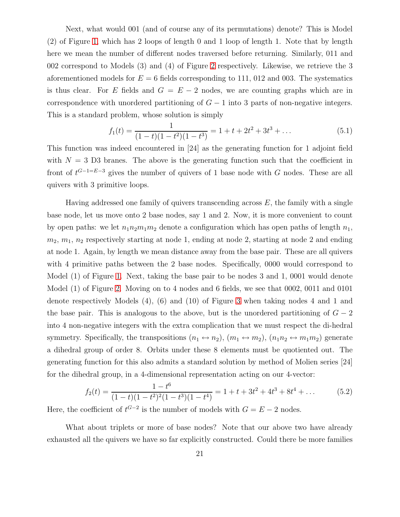Next, what would 001 (and of course any of its permutations) denote? This is Model (2) of Figure [1,](#page-11-0) which has 2 loops of length 0 and 1 loop of length 1. Note that by length here we mean the number of different nodes traversed before returning. Similarly, 011 and 002 correspond to Models (3) and (4) of Figure [2](#page-13-1) respectively. Likewise, we retrieve the 3 aforementioned models for  $E = 6$  fields corresponding to 111, 012 and 003. The systematics is thus clear. For E fields and  $G = E - 2$  nodes, we are counting graphs which are in correspondence with unordered partitioning of  $G-1$  into 3 parts of non-negative integers. This is a standard problem, whose solution is simply

$$
f_1(t) = \frac{1}{(1-t)(1-t^2)(1-t^3)} = 1 + t + 2t^2 + 3t^3 + \dots
$$
 (5.1)

This function was indeed encountered in [24] as the generating function for 1 adjoint field with  $N = 3$  D3 branes. The above is the generating function such that the coefficient in front of  $t^{G-1=E-3}$  gives the number of quivers of 1 base node with G nodes. These are all quivers with 3 primitive loops.

Having addressed one family of quivers transcending across  $E$ , the family with a single base node, let us move onto 2 base nodes, say 1 and 2. Now, it is more convenient to count by open paths: we let  $n_1n_2m_1m_2$  denote a configuration which has open paths of length  $n_1$ ,  $m_2, m_1, n_2$  respectively starting at node 1, ending at node 2, starting at node 2 and ending at node 1. Again, by length we mean distance away from the base pair. These are all quivers with 4 primitive paths between the 2 base nodes. Specifically, 0000 would correspond to Model (1) of Figure [1.](#page-11-0) Next, taking the base pair to be nodes 3 and 1, 0001 would denote Model (1) of Figure [2.](#page-13-1) Moving on to 4 nodes and 6 fields, we see that 0002, 0011 and 0101 denote respectively Models (4), (6) and (10) of Figure [3](#page-14-0) when taking nodes 4 and 1 and the base pair. This is analogous to the above, but is the unordered partitioning of  $G - 2$ into 4 non-negative integers with the extra complication that we must respect the di-hedral symmetry. Specifically, the transpositions  $(n_1 \leftrightarrow n_2)$ ,  $(m_1 \leftrightarrow m_2)$ ,  $(n_1 n_2 \leftrightarrow m_1 m_2)$  generate a dihedral group of order 8. Orbits under these 8 elements must be quotiented out. The generating function for this also admits a standard solution by method of Molien series [24] for the dihedral group, in a 4-dimensional representation acting on our 4-vector:

$$
f_2(t) = \frac{1 - t^6}{(1 - t)(1 - t^2)^2 (1 - t^3)(1 - t^4)} = 1 + t + 3t^2 + 4t^3 + 8t^4 + \dots
$$
 (5.2)

Here, the coefficient of  $t^{G-2}$  is the number of models with  $G = E - 2$  nodes.

What about triplets or more of base nodes? Note that our above two have already exhausted all the quivers we have so far explicitly constructed. Could there be more families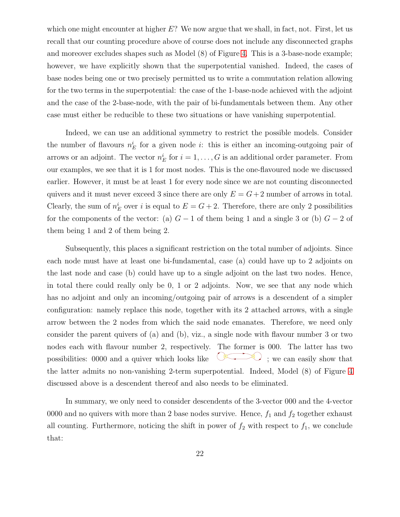which one might encounter at higher  $E$ ? We now argue that we shall, in fact, not. First, let us recall that our counting procedure above of course does not include any disconnected graphs and moreover excludes shapes such as Model (8) of Figure [4.](#page-15-1) This is a 3-base-node example; however, we have explicitly shown that the superpotential vanished. Indeed, the cases of base nodes being one or two precisely permitted us to write a commutation relation allowing for the two terms in the superpotential: the case of the 1-base-node achieved with the adjoint and the case of the 2-base-node, with the pair of bi-fundamentals between them. Any other case must either be reducible to these two situations or have vanishing superpotential.

Indeed, we can use an additional symmetry to restrict the possible models. Consider the number of flavours  $n_E^i$  for a given node *i*: this is either an incoming-outgoing pair of arrows or an adjoint. The vector  $n_E^i$  for  $i = 1, ..., G$  is an additional order parameter. From our examples, we see that it is 1 for most nodes. This is the one-flavoured node we discussed earlier. However, it must be at least 1 for every node since we are not counting disconnected quivers and it must never exceed 3 since there are only  $E = G + 2$  number of arrows in total. Clearly, the sum of  $n_E^i$  over i is equal to  $E = G + 2$ . Therefore, there are only 2 possibilities for the components of the vector: (a)  $G-1$  of them being 1 and a single 3 or (b)  $G-2$  of them being 1 and 2 of them being 2.

Subsequently, this places a significant restriction on the total number of adjoints. Since each node must have at least one bi-fundamental, case (a) could have up to 2 adjoints on the last node and case (b) could have up to a single adjoint on the last two nodes. Hence, in total there could really only be 0, 1 or 2 adjoints. Now, we see that any node which has no adjoint and only an incoming/outgoing pair of arrows is a descendent of a simpler configuration: namely replace this node, together with its 2 attached arrows, with a single arrow between the 2 nodes from which the said node emanates. Therefore, we need only consider the parent quivers of (a) and (b), viz., a single node with flavour number 3 or two nodes each with flavour number 2, respectively. The former is 000. The latter has two possibilities:  $0000$  and a quiver which looks like  $\vee$ ; we can easily show that the latter admits no non-vanishing 2-term superpotential. Indeed, Model (8) of Figure [4](#page-15-1) discussed above is a descendent thereof and also needs to be eliminated.

In summary, we only need to consider descendents of the 3-vector 000 and the 4-vector 0000 and no quivers with more than 2 base nodes survive. Hence,  $f_1$  and  $f_2$  together exhaust all counting. Furthermore, noticing the shift in power of  $f_2$  with respect to  $f_1$ , we conclude that: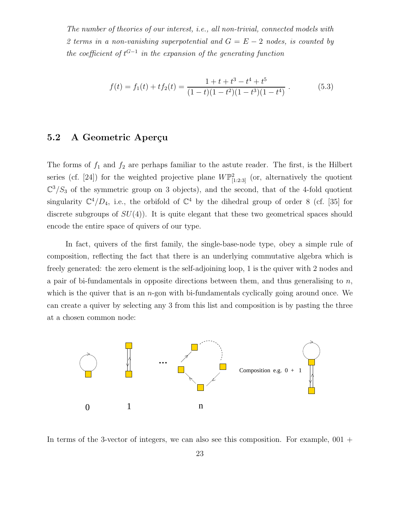The number of theories of our interest, i.e., all non-trivial, connected models with 2 terms in a non-vanishing superpotential and  $G = E - 2$  nodes, is counted by the coefficient of  $t^{G-1}$  in the expansion of the generating function

<span id="page-23-1"></span>
$$
f(t) = f_1(t) + tf_2(t) = \frac{1+t+t^3-t^4+t^5}{(1-t)(1-t^2)(1-t^3)(1-t^4)}.
$$
 (5.3)

#### <span id="page-23-0"></span>5.2 A Geometric Aperçu

The forms of  $f_1$  and  $f_2$  are perhaps familiar to the astute reader. The first, is the Hilbert series (cf. [24]) for the weighted projective plane  $W\mathbb{P}^2_{[1:2:3]}$  (or, alternatively the quotient  $\mathbb{C}^3/S_3$  of the symmetric group on 3 objects), and the second, that of the 4-fold quotient singularity  $\mathbb{C}^4/D_4$ , i.e., the orbifold of  $\mathbb{C}^4$  by the dihedral group of order 8 (cf. [35] for discrete subgroups of  $SU(4)$ ). It is quite elegant that these two geometrical spaces should encode the entire space of quivers of our type.

In fact, quivers of the first family, the single-base-node type, obey a simple rule of composition, reflecting the fact that there is an underlying commutative algebra which is freely generated: the zero element is the self-adjoining loop, 1 is the quiver with 2 nodes and a pair of bi-fundamentals in opposite directions between them, and thus generalising to  $n$ , which is the quiver that is an  $n$ -gon with bi-fundamentals cyclically going around once. We can create a quiver by selecting any 3 from this list and composition is by pasting the three at a chosen common node:



In terms of the 3-vector of integers, we can also see this composition. For example,  $001 +$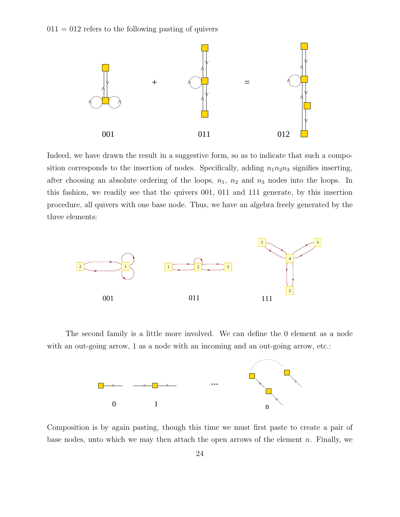$011 = 012$  refers to the following pasting of quivers



Indeed, we have drawn the result in a suggestive form, so as to indicate that such a composition corresponds to the insertion of nodes. Specifically, adding  $n_1n_2n_3$  signifies inserting, after choosing an absolute ordering of the loops,  $n_1$ ,  $n_2$  and  $n_3$  nodes into the loops. In this fashion, we readily see that the quivers 001, 011 and 111 generate, by this insertion procedure, all quivers with one base node. Thus, we have an algebra freely generated by the three elements:



The second family is a little more involved. We can define the 0 element as a node with an out-going arrow, 1 as a node with an incoming and an out-going arrow, etc.:



Composition is by again pasting, though this time we must first paste to create a pair of base nodes, unto which we may then attach the open arrows of the element  $n$ . Finally, we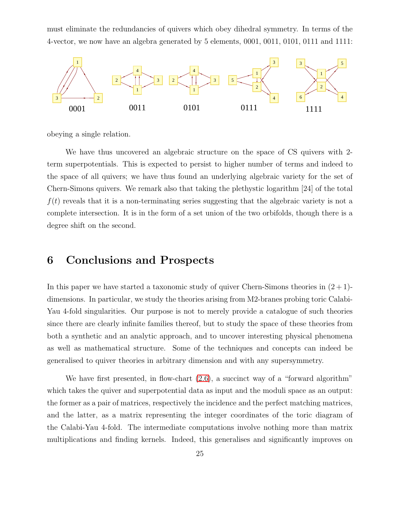must eliminate the redundancies of quivers which obey dihedral symmetry. In terms of the 4-vector, we now have an algebra generated by 5 elements, 0001, 0011, 0101, 0111 and 1111:



obeying a single relation.

We have thus uncovered an algebraic structure on the space of CS quivers with 2 term superpotentials. This is expected to persist to higher number of terms and indeed to the space of all quivers; we have thus found an underlying algebraic variety for the set of Chern-Simons quivers. We remark also that taking the plethystic logarithm [24] of the total  $f(t)$  reveals that it is a non-terminating series suggesting that the algebraic variety is not a complete intersection. It is in the form of a set union of the two orbifolds, though there is a degree shift on the second.

## <span id="page-25-0"></span>6 Conclusions and Prospects

In this paper we have started a taxonomic study of quiver Chern-Simons theories in  $(2+1)$ dimensions. In particular, we study the theories arising from M2-branes probing toric Calabi-Yau 4-fold singularities. Our purpose is not to merely provide a catalogue of such theories since there are clearly infinite families thereof, but to study the space of these theories from both a synthetic and an analytic approach, and to uncover interesting physical phenomena as well as mathematical structure. Some of the techniques and concepts can indeed be generalised to quiver theories in arbitrary dimension and with any supersymmetry.

We have first presented, in flow-chart  $(2.6)$ , a succinct way of a "forward algorithm" which takes the quiver and superpotential data as input and the moduli space as an output: the former as a pair of matrices, respectively the incidence and the perfect matching matrices, and the latter, as a matrix representing the integer coordinates of the toric diagram of the Calabi-Yau 4-fold. The intermediate computations involve nothing more than matrix multiplications and finding kernels. Indeed, this generalises and significantly improves on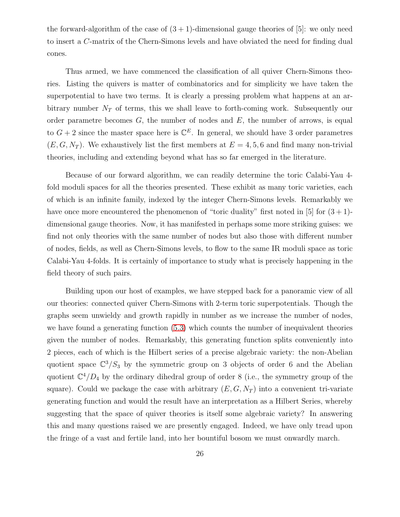the forward-algorithm of the case of  $(3 + 1)$ -dimensional gauge theories of [5]: we only need to insert a C-matrix of the Chern-Simons levels and have obviated the need for finding dual cones.

Thus armed, we have commenced the classification of all quiver Chern-Simons theories. Listing the quivers is matter of combinatorics and for simplicity we have taken the superpotential to have two terms. It is clearly a pressing problem what happens at an arbitrary number  $N_T$  of terms, this we shall leave to forth-coming work. Subsequently our order parametre becomes  $G$ , the number of nodes and  $E$ , the number of arrows, is equal to  $G + 2$  since the master space here is  $\mathbb{C}^E$ . In general, we should have 3 order parametres  $(E, G, N_T)$ . We exhaustively list the first members at  $E = 4, 5, 6$  and find many non-trivial theories, including and extending beyond what has so far emerged in the literature.

Because of our forward algorithm, we can readily determine the toric Calabi-Yau 4 fold moduli spaces for all the theories presented. These exhibit as many toric varieties, each of which is an infinite family, indexed by the integer Chern-Simons levels. Remarkably we have once more encountered the phenomenon of "toric duality" first noted in [5] for  $(3 + 1)$ dimensional gauge theories. Now, it has manifested in perhaps some more striking guises: we find not only theories with the same number of nodes but also those with different number of nodes, fields, as well as Chern-Simons levels, to flow to the same IR moduli space as toric Calabi-Yau 4-folds. It is certainly of importance to study what is precisely happening in the field theory of such pairs.

Building upon our host of examples, we have stepped back for a panoramic view of all our theories: connected quiver Chern-Simons with 2-term toric superpotentials. Though the graphs seem unwieldy and growth rapidly in number as we increase the number of nodes, we have found a generating function [\(5.3\)](#page-23-1) which counts the number of inequivalent theories given the number of nodes. Remarkably, this generating function splits conveniently into 2 pieces, each of which is the Hilbert series of a precise algebraic variety: the non-Abelian quotient space  $\mathbb{C}^3/S_3$  by the symmetric group on 3 objects of order 6 and the Abelian quotient  $\mathbb{C}^4/D_4$  by the ordinary dihedral group of order 8 (i.e., the symmetry group of the square). Could we package the case with arbitrary  $(E, G, N_T)$  into a convenient tri-variate generating function and would the result have an interpretation as a Hilbert Series, whereby suggesting that the space of quiver theories is itself some algebraic variety? In answering this and many questions raised we are presently engaged. Indeed, we have only tread upon the fringe of a vast and fertile land, into her bountiful bosom we must onwardly march.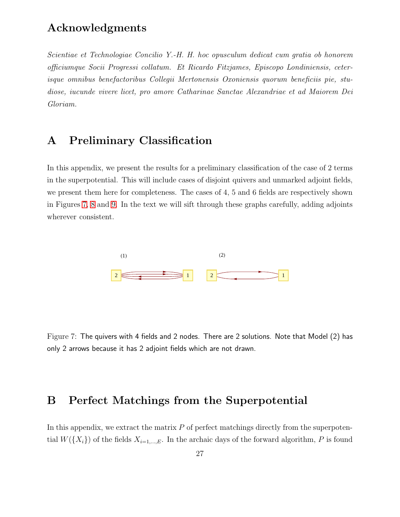## Acknowledgments

Scientiae et Technologiae Concilio Y.-H. H. hoc opusculum dedicat cum gratia ob honorem officiumque Socii Progressi collatum. Et Ricardo Fitzjames, Episcopo Londiniensis, ceterisque omnibus benefactoribus Collegii Mertonensis Oxoniensis quorum beneficiis pie, studiose, iucunde vivere licet, pro amore Catharinae Sanctae Alexandriae et ad Maiorem Dei Gloriam.

## <span id="page-27-0"></span>A Preliminary Classification

In this appendix, we present the results for a preliminary classification of the case of 2 terms in the superpotential. This will include cases of disjoint quivers and unmarked adjoint fields, we present them here for completeness. The cases of 4, 5 and 6 fields are respectively shown in Figures [7,](#page-27-2) [8](#page-28-0) and [9.](#page-29-0) In the text we will sift through these graphs carefully, adding adjoints wherever consistent.



<span id="page-27-2"></span>Figure 7: The quivers with 4 fields and 2 nodes. There are 2 solutions. Note that Model (2) has only 2 arrows because it has 2 adjoint fields which are not drawn.

## <span id="page-27-1"></span>B Perfect Matchings from the Superpotential

In this appendix, we extract the matrix  $P$  of perfect matchings directly from the superpotential  $W({X<sub>i</sub>})$  of the fields  $X_{i=1,\dots,E}$ . In the archaic days of the forward algorithm, P is found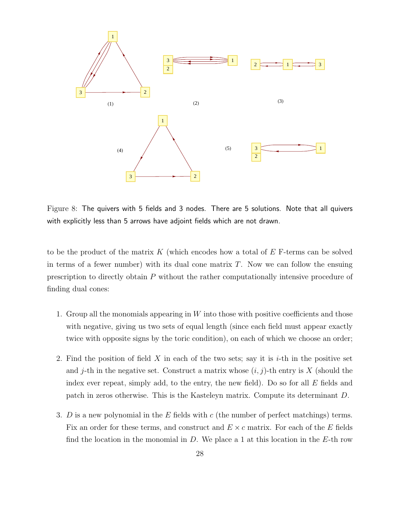

<span id="page-28-0"></span>Figure 8: The quivers with 5 fields and 3 nodes. There are 5 solutions. Note that all quivers with explicitly less than 5 arrows have adjoint fields which are not drawn.

to be the product of the matrix K (which encodes how a total of  $E$  F-terms can be solved in terms of a fewer number) with its dual cone matrix  $T$ . Now we can follow the ensuing prescription to directly obtain P without the rather computationally intensive procedure of finding dual cones:

- 1. Group all the monomials appearing in  $W$  into those with positive coefficients and those with negative, giving us two sets of equal length (since each field must appear exactly twice with opposite signs by the toric condition), on each of which we choose an order;
- 2. Find the position of field X in each of the two sets; say it is  $i$ -th in the positive set and j-th in the negative set. Construct a matrix whose  $(i, j)$ -th entry is X (should the index ever repeat, simply add, to the entry, the new field). Do so for all  $E$  fields and patch in zeros otherwise. This is the Kasteleyn matrix. Compute its determinant D.
- 3. D is a new polynomial in the E fields with c (the number of perfect matchings) terms. Fix an order for these terms, and construct and  $E \times c$  matrix. For each of the E fields find the location in the monomial in  $D$ . We place a 1 at this location in the E-th row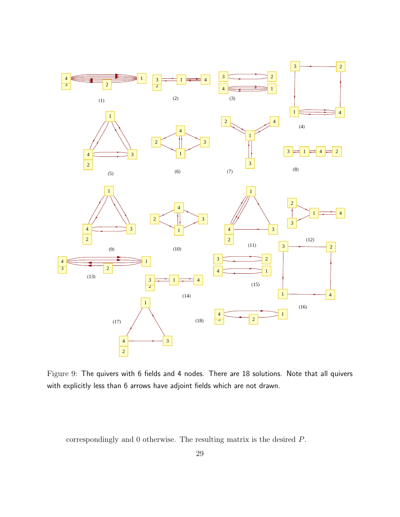

<span id="page-29-0"></span>Figure 9: The quivers with 6 fields and 4 nodes. There are 18 solutions. Note that all quivers with explicitly less than 6 arrows have adjoint fields which are not drawn.

correspondingly and 0 otherwise. The resulting matrix is the desired P.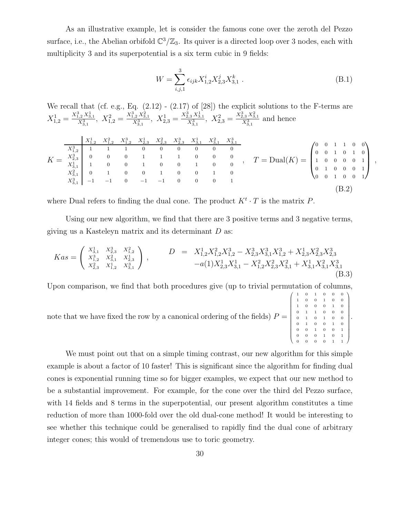As an illustrative example, let is consider the famous cone over the zeroth del Pezzo surface, i.e., the Abelian orbifold  $\mathbb{C}^3/\mathbb{Z}_3$ . Its quiver is a directed loop over 3 nodes, each with multiplicity 3 and its superpotential is a six term cubic in 9 fields:

$$
W = \sum_{i,j,1}^{3} \epsilon_{ijk} X_{1,2}^{i} X_{2,3}^{j} X_{3,1}^{k} .
$$
 (B.1)

We recall that (cf. e.g., Eq.  $(2.12)$  -  $(2.17)$  of  $[28]$ ) the explicit solutions to the F-terms are  $X_{1,2}^1 = \frac{X_{1,2}^3 X_{3,1}^1}{X_{3,1}^3}$ ,  $X_{1,2}^2 = \frac{X_{1,2}^3 X_{3,1}^2}{X_{3,1}^3}$ ,  $X_{2,3}^1 = \frac{X_{2,3}^3 X_{3,1}^1}{X_{3,1}^3}$ ,  $X_{2,3}^2 = \frac{X_{2,3}^3 X_{3,1}^2}{X_{3,1}^3}$  and hence

$$
K = \begin{array}{c|ccccccccc}\nX_{1,2}^1 & X_{1,2}^2 & X_{1,2}^3 & X_{2,3}^1 & X_{2,3}^3 & X_{3,1}^1 & X_{3,1}^2 & X_{3,1}^3 \\
X_{1,2}^3 & 1 & 1 & 1 & 0 & 0 & 0 & 0 & 0 & 0 \\
X_{2,3}^3 & 0 & 0 & 0 & 1 & 1 & 1 & 0 & 0 & 0 & 0 \\
X_{3,1}^1 & 1 & 0 & 0 & 1 & 0 & 0 & 1 & 0 & 0 \\
X_{3,1}^2 & 0 & 1 & 0 & 0 & 1 & 0 & 0 & 1 & 0 \\
X_{3,1}^3 & -1 & -1 & 0 & -1 & -1 & 0 & 0 & 0 & 1\n\end{array}, \quad T = \text{Dual}(K) = \begin{pmatrix} 0 & 0 & 1 & 1 & 0 & 0 \\ 0 & 0 & 1 & 0 & 1 & 0 \\ 1 & 0 & 0 & 0 & 0 & 1 \\ 1 & 0 & 0 & 0 & 0 & 1 \\ 0 & 1 & 0 & 0 & 0 & 1 \\ 0 & 0 & 1 & 0 & 0 & 1\n\end{pmatrix},
$$
\n
$$
K = \begin{pmatrix} X_{1,2}^1 & X_{1,2}^2 & X_{2,3}^3 & X_{2,3}^2 & X_{2,3}^3 & X_{3,1}^3 & X_{3,1}^3 & X_{3,1}^3 \\
X_{3,1}^3 & 1 & 0 & 0 & 1 & 0 & 0 \\
0 & 0 & 1 & 0 & 0 & 0 & 1 \\
0 & 0 & 1 & 0 & 0 & 1\n\end{pmatrix},
$$
\n
$$
(B.2)
$$

where Dual refers to finding the dual cone. The product  $K^t \cdot T$  is the matrix P.

Using our new algorithm, we find that there are 3 positive terms and 3 negative terms, giving us a Kasteleyn matrix and its determinant  $D$  as:

$$
Kas = \begin{pmatrix} X_{3,1}^1 & X_{2,3}^3 & X_{1,2}^2 \\ X_{3,2}^3 & X_{3,1}^2 & X_{2,3}^1 \\ X_{2,3}^2 & X_{1,2}^1 & X_{3,1}^3 \end{pmatrix}, \qquad D = X_{1,2}^1 X_{1,2}^2 X_{1,2}^3 - X_{2,3}^3 X_{3,1}^3 X_{1,2}^3 + X_{2,3}^1 X_{2,3}^2 X_{2,3}^3
$$

$$
-a(1)X_{2,3}^1 X_{3,1}^1 - X_{1,2}^2 X_{2,3}^2 X_{3,1}^2 + X_{3,1}^1 X_{3,1}^2 X_{3,1}^3
$$
(B.3)

Upon comparison, we find that both procedures give (up to trivial permutation of columns,

note that we have fixed the row by a canonical ordering of the fields) 
$$
P = \begin{pmatrix} 1 & 0 & 1 & 0 & 0 & 0 \\ 1 & 0 & 0 & 1 & 0 & 0 \\ 1 & 0 & 0 & 1 & 0 & 0 \\ 0 & 1 & 1 & 0 & 0 & 0 \\ 0 & 1 & 0 & 1 & 0 & 0 \\ 0 & 0 & 1 & 0 & 0 & 1 \\ 0 & 0 & 0 & 1 & 0 & 1 \\ 0 & 0 & 0 & 0 & 1 & 0 \\ 0 & 0 & 0 & 0 & 1 & 1 \end{pmatrix}.
$$

We must point out that on a simple timing contrast, our new algorithm for this simple example is about a factor of 10 faster! This is significant since the algorithm for finding dual cones is exponential running time so for bigger examples, we expect that our new method to be a substantial improvement. For example, for the cone over the third del Pezzo surface, with 14 fields and 8 terms in the superpotential, our present algorithm constitutes a time reduction of more than 1000-fold over the old dual-cone method! It would be interesting to see whether this technique could be generalised to rapidly find the dual cone of arbitrary integer cones; this would of tremendous use to toric geometry.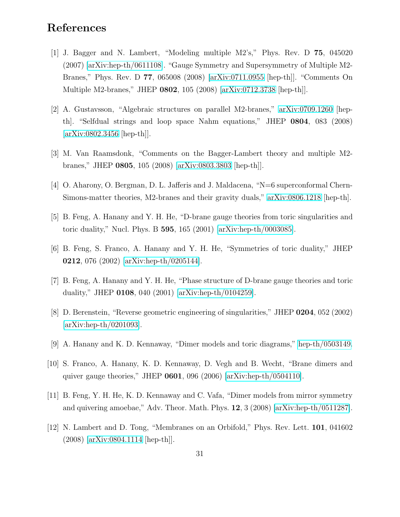## References

- [1] J. Bagger and N. Lambert, "Modeling multiple M2's," Phys. Rev. D 75, 045020 (2007) [\[arXiv:hep-th/0611108\]](http://arXiv.org/abs/hep-th/0611108). "Gauge Symmetry and Supersymmetry of Multiple M2- Branes," Phys. Rev. D 77, 065008 (2008) [\[arXiv:0711.0955](http://arXiv.org/abs/0711.0955) [hep-th]]. "Comments On Multiple M2-branes," JHEP 0802, 105 (2008) [\[arXiv:0712.3738](http://arXiv.org/abs/0712.3738) [hep-th]].
- [2] A. Gustavsson, "Algebraic structures on parallel M2-branes," [arXiv:0709.1260](http://arXiv.org/abs/0709.1260) [hepth]. "Selfdual strings and loop space Nahm equations," JHEP 0804, 083 (2008) [\[arXiv:0802.3456](http://arXiv.org/abs/0802.3456) [hep-th]].
- [3] M. Van Raamsdonk, "Comments on the Bagger-Lambert theory and multiple M2 branes," JHEP 0805, 105 (2008) [\[arXiv:0803.3803](http://arXiv.org/abs/0803.3803) [hep-th]].
- [4] O. Aharony, O. Bergman, D. L. Jafferis and J. Maldacena, "N=6 superconformal Chern-Simons-matter theories, M2-branes and their gravity duals," [arXiv:0806.1218](http://arXiv.org/abs/0806.1218) [hep-th].
- [5] B. Feng, A. Hanany and Y. H. He, "D-brane gauge theories from toric singularities and toric duality," Nucl. Phys. B 595, 165 (2001) [\[arXiv:hep-th/0003085\]](http://arXiv.org/abs/hep-th/0003085).
- [6] B. Feng, S. Franco, A. Hanany and Y. H. He, "Symmetries of toric duality," JHEP 0212, 076 (2002) [\[arXiv:hep-th/0205144\]](http://arXiv.org/abs/hep-th/0205144).
- [7] B. Feng, A. Hanany and Y. H. He, "Phase structure of D-brane gauge theories and toric duality," JHEP 0108, 040 (2001) [\[arXiv:hep-th/0104259\]](http://arXiv.org/abs/hep-th/0104259).
- [8] D. Berenstein, "Reverse geometric engineering of singularities," JHEP 0204, 052 (2002) [\[arXiv:hep-th/0201093\]](http://arXiv.org/abs/hep-th/0201093).
- [9] A. Hanany and K. D. Kennaway, "Dimer models and toric diagrams," [hep-th/0503149.](http://arXiv.org/abs/hep-th/0503149)
- [10] S. Franco, A. Hanany, K. D. Kennaway, D. Vegh and B. Wecht, "Brane dimers and quiver gauge theories," JHEP  $0601$ , 096 (2006) [\[arXiv:hep-th/0504110\]](http://arXiv.org/abs/hep-th/0504110).
- [11] B. Feng, Y. H. He, K. D. Kennaway and C. Vafa, "Dimer models from mirror symmetry and quivering amoebae," Adv. Theor. Math. Phys. 12, 3 (2008) [\[arXiv:hep-th/0511287\]](http://arXiv.org/abs/hep-th/0511287).
- [12] N. Lambert and D. Tong, "Membranes on an Orbifold," Phys. Rev. Lett. 101, 041602 (2008) [\[arXiv:0804.1114](http://arXiv.org/abs/0804.1114) [hep-th]].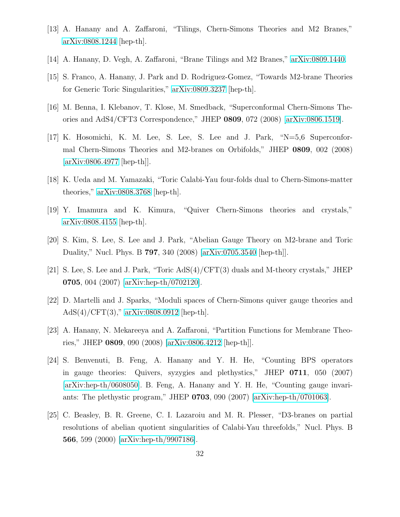- [13] A. Hanany and A. Zaffaroni, "Tilings, Chern-Simons Theories and M2 Branes," [arXiv:0808.1244](http://arXiv.org/abs/0808.1244) [hep-th].
- [14] A. Hanany, D. Vegh, A. Zaffaroni, "Brane Tilings and M2 Branes," [arXiv:0809.1440.](http://arXiv.org/abs/0809.1440)
- [15] S. Franco, A. Hanany, J. Park and D. Rodriguez-Gomez, "Towards M2-brane Theories for Generic Toric Singularities," [arXiv:0809.3237](http://arXiv.org/abs/0809.3237) [hep-th].
- [16] M. Benna, I. Klebanov, T. Klose, M. Smedback, "Superconformal Chern-Simons Theories and AdS4/CFT3 Correspondence," JHEP 0809, 072 (2008) [\[arXiv:0806.1519\]](http://arXiv.org/abs/0806.1519).
- [17] K. Hosomichi, K. M. Lee, S. Lee, S. Lee and J. Park, "N=5,6 Superconformal Chern-Simons Theories and M2-branes on Orbifolds," JHEP 0809, 002 (2008) [\[arXiv:0806.4977](http://arXiv.org/abs/0806.4977) [hep-th]].
- [18] K. Ueda and M. Yamazaki, "Toric Calabi-Yau four-folds dual to Chern-Simons-matter theories," [arXiv:0808.3768](http://arXiv.org/abs/0808.3768) [hep-th].
- [19] Y. Imamura and K. Kimura, "Quiver Chern-Simons theories and crystals," [arXiv:0808.4155](http://arXiv.org/abs/0808.4155) [hep-th].
- [20] S. Kim, S. Lee, S. Lee and J. Park, "Abelian Gauge Theory on M2-brane and Toric Duality," Nucl. Phys. B 797, 340 (2008) [\[arXiv:0705.3540](http://arXiv.org/abs/0705.3540) [hep-th]].
- [21] S. Lee, S. Lee and J. Park, "Toric AdS(4)/CFT(3) duals and M-theory crystals," JHEP 0705, 004 (2007) [\[arXiv:hep-th/0702120\]](http://arXiv.org/abs/hep-th/0702120).
- [22] D. Martelli and J. Sparks, "Moduli spaces of Chern-Simons quiver gauge theories and AdS(4)/CFT(3)," [arXiv:0808.0912](http://arXiv.org/abs/0808.0912) [hep-th].
- [23] A. Hanany, N. Mekareeya and A. Zaffaroni, "Partition Functions for Membrane Theories," JHEP 0809, 090 (2008) [\[arXiv:0806.4212](http://arXiv.org/abs/0806.4212) [hep-th]].
- [24] S. Benvenuti, B. Feng, A. Hanany and Y. H. He, "Counting BPS operators in gauge theories: Quivers, syzygies and plethystics," JHEP 0711, 050 (2007) [\[arXiv:hep-th/0608050\]](http://arXiv.org/abs/hep-th/0608050). B. Feng, A. Hanany and Y. H. He, "Counting gauge invariants: The plethystic program," JHEP  $0703$ , 090 (2007) [\[arXiv:hep-th/0701063\]](http://arXiv.org/abs/hep-th/0701063).
- [25] C. Beasley, B. R. Greene, C. I. Lazaroiu and M. R. Plesser, "D3-branes on partial resolutions of abelian quotient singularities of Calabi-Yau threefolds," Nucl. Phys. B 566, 599 (2000) [\[arXiv:hep-th/9907186\]](http://arXiv.org/abs/hep-th/9907186).